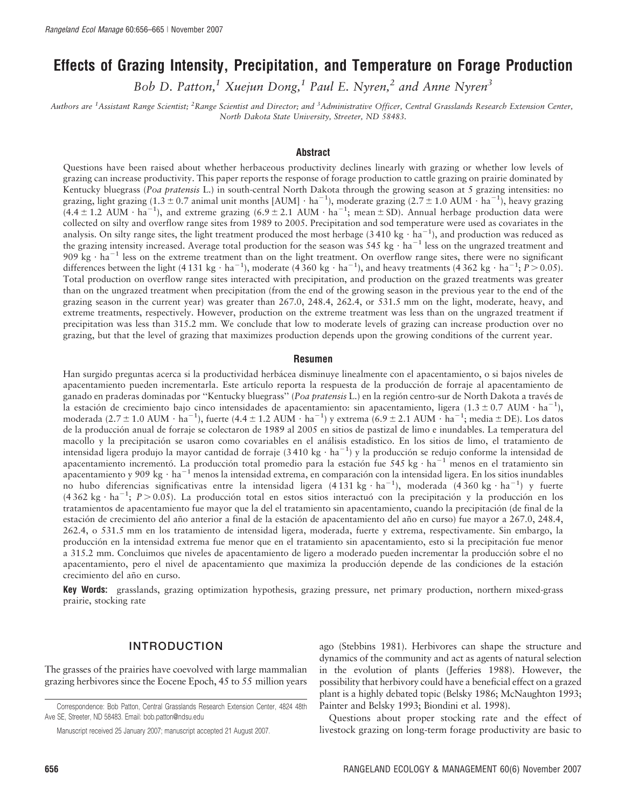# Effects of Grazing Intensity, Precipitation, and Temperature on Forage Production

Bob D. Patton,<sup>1</sup> Xuejun Dong,<sup>1</sup> Paul E. Nyren,<sup>2</sup> and Anne Nyren<sup>3</sup>

Authors are <sup>1</sup>Assistant Range Scientist; <sup>2</sup>Range Scientist and Director; and <sup>3</sup>Administrative Officer, Central Grasslands Research Extension Center, North Dakota State University, Streeter, ND 58483.

#### Abstract

Questions have been raised about whether herbaceous productivity declines linearly with grazing or whether low levels of grazing can increase productivity. This paper reports the response of forage production to cattle grazing on prairie dominated by Kentucky bluegrass (Poa pratensis L.) in south-central North Dakota through the growing season at 5 grazing intensities: no grazing, light grazing (1.3 ± 0.7 animal unit months [AUM]  $\cdot$  ha<sup>-1</sup>), moderate grazing (2.7 ± 1.0 AUM  $\cdot$  ha<sup>-1</sup>), heavy grazing  $(4.4 \pm 1.2 \text{ AUM} \cdot \text{ha}^{-1})$ , and extreme grazing  $(6.9 \pm 2.1 \text{ AUM} \cdot \text{ha}^{-1})$ ; mean  $\pm$  SD). Annual herbage production data were collected on silty and overflow range sites from 1989 to 2005. Precipitation and sod temperature were used as covariates in the analysis. On silty range sites, the light treatment produced the most herbage (3410 kg  $\cdot$  ha<sup>-1</sup>), and production was reduced as the grazing intensity increased. Average total production for the season was  $545 \text{ kg} \cdot \text{ha}^{-1}$  less on the ungrazed treatment and 909 kg  $\cdot$  ha<sup>-1</sup> less on the extreme treatment than on the light treatment. On overflow range sites, there were no significant differences between the light (4 131 kg  $\cdot$  ha<sup>-1</sup>), moderate (4 360 kg  $\cdot$  ha<sup>-1</sup>), and heavy treatments (4 362 kg  $\cdot$  ha<sup>-1</sup>; P > 0.05). Total production on overflow range sites interacted with precipitation, and production on the grazed treatments was greater than on the ungrazed treatment when precipitation (from the end of the growing season in the previous year to the end of the grazing season in the current year) was greater than 267.0, 248.4, 262.4, or 531.5 mm on the light, moderate, heavy, and extreme treatments, respectively. However, production on the extreme treatment was less than on the ungrazed treatment if precipitation was less than 315.2 mm. We conclude that low to moderate levels of grazing can increase production over no grazing, but that the level of grazing that maximizes production depends upon the growing conditions of the current year.

#### Resumen

Han surgido preguntas acerca si la productividad herba´cea disminuye linealmente con el apacentamiento, o si bajos niveles de apacentamiento pueden incrementarla. Este artículo reporta la respuesta de la producción de forraje al apacentamiento de ganado en praderas dominadas por "Kentucky bluegrass" (Poa pratensis L.) en la región centro-sur de North Dakota a través de la estación de crecimiento bajo cinco intensidades de apacentamiento: sin apacentamiento, ligera (1.3 ± 0.7 AUM  $\cdot$  ha<sup>-1</sup>), moderada (2.7 ± 1.0 AUM  $\cdot$  ha<sup>-1</sup>), fuerte (4.4 ± 1.2 AUM  $\cdot$  ha<sup>-1</sup>) y extrema (6.9 ± 2.1 AUM  $\cdot$  ha<sup>-1</sup>; media ± DE). Los datos de la producción anual de forraje se colectaron de 1989 al 2005 en sitios de pastizal de limo e inundables. La temperatura del macollo y la precipitación se usaron como covariables en el análisis estadístico. En los sitios de limo, el tratamiento de intensidad ligera produjo la mayor cantidad de forraje (3410 kg·ha<sup>-1</sup>) y la producción se redujo conforme la intensidad de apacentamiento incrementó. La producción total promedio para la estación fue 545 kg  $\cdot$  ha<sup>-1</sup> menos en el tratamiento sin apacentamiento y 909 kg  $\cdot$  ha<sup>-1</sup> menos la intensidad extrema, en comparación con la intensidad ligera. En los sitios inundables no hubo diferencias significativas entre la intensidad ligera (4 131 kg · ha<sup>-1</sup>), moderada (4 360 kg · ha<sup>-1</sup>) y fuerte (4 362 kg  $\cdot$  ha<sup>-1</sup>; P > 0.05). La producción total en estos sitios interactuó con la precipitación y la producción en los tratamientos de apacentamiento fue mayor que la del el tratamiento sin apacentamiento, cuando la precipitación (de final de la estación de crecimiento del año anterior a final de la estación de apacentamiento del año en curso) fue mayor a 267.0, 248.4, 262.4, o 531.5 mm en los tratamiento de intensidad ligera, moderada, fuerte y extrema, respectivamente. Sin embargo, la producción en la intensidad extrema fue menor que en el tratamiento sin apacentamiento, esto si la precipitación fue menor a 315.2 mm. Concluimos que niveles de apacentamiento de ligero a moderado pueden incrementar la producción sobre el no apacentamiento, pero el nivel de apacentamiento que maximiza la producción depende de las condiciones de la estación crecimiento del año en curso.

Key Words: grasslands, grazing optimization hypothesis, grazing pressure, net primary production, northern mixed-grass prairie, stocking rate

# INTRODUCTION

The grasses of the prairies have coevolved with large mammalian grazing herbivores since the Eocene Epoch, 45 to 55 million years

ago (Stebbins 1981). Herbivores can shape the structure and dynamics of the community and act as agents of natural selection in the evolution of plants (Jefferies 1988). However, the possibility that herbivory could have a beneficial effect on a grazed plant is a highly debated topic (Belsky 1986; McNaughton 1993; Painter and Belsky 1993; Biondini et al. 1998).

Questions about proper stocking rate and the effect of livestock grazing on long-term forage productivity are basic to

Correspondence: Bob Patton, Central Grasslands Research Extension Center, 4824 48th Ave SE, Streeter, ND 58483. Email: bob.patton@ndsu.edu

Manuscript received 25 January 2007; manuscript accepted 21 August 2007.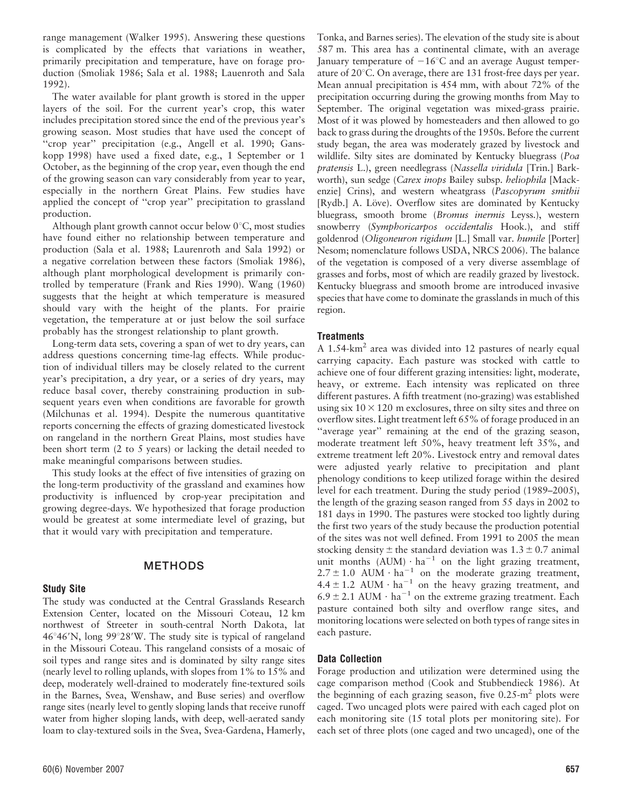range management (Walker 1995). Answering these questions is complicated by the effects that variations in weather, primarily precipitation and temperature, have on forage production (Smoliak 1986; Sala et al. 1988; Lauenroth and Sala 1992).

The water available for plant growth is stored in the upper layers of the soil. For the current year's crop, this water includes precipitation stored since the end of the previous year's growing season. Most studies that have used the concept of "crop year" precipitation (e.g., Angell et al. 1990; Ganskopp 1998) have used a fixed date, e.g., 1 September or 1 October, as the beginning of the crop year, even though the end of the growing season can vary considerably from year to year, especially in the northern Great Plains. Few studies have applied the concept of ''crop year'' precipitation to grassland production.

Although plant growth cannot occur below  $0^{\circ}$ C, most studies have found either no relationship between temperature and production (Sala et al. 1988; Laurenroth and Sala 1992) or a negative correlation between these factors (Smoliak 1986), although plant morphological development is primarily controlled by temperature (Frank and Ries 1990). Wang (1960) suggests that the height at which temperature is measured should vary with the height of the plants. For prairie vegetation, the temperature at or just below the soil surface probably has the strongest relationship to plant growth.

Long-term data sets, covering a span of wet to dry years, can address questions concerning time-lag effects. While production of individual tillers may be closely related to the current year's precipitation, a dry year, or a series of dry years, may reduce basal cover, thereby constraining production in subsequent years even when conditions are favorable for growth (Milchunas et al. 1994). Despite the numerous quantitative reports concerning the effects of grazing domesticated livestock on rangeland in the northern Great Plains, most studies have been short term (2 to 5 years) or lacking the detail needed to make meaningful comparisons between studies.

This study looks at the effect of five intensities of grazing on the long-term productivity of the grassland and examines how productivity is influenced by crop-year precipitation and growing degree-days. We hypothesized that forage production would be greatest at some intermediate level of grazing, but that it would vary with precipitation and temperature.

# METHODS

### Study Site

The study was conducted at the Central Grasslands Research Extension Center, located on the Missouri Coteau, 12 km northwest of Streeter in south-central North Dakota, lat  $46^{\circ}46'$ N, long  $99^{\circ}28'$ W. The study site is typical of rangeland in the Missouri Coteau. This rangeland consists of a mosaic of soil types and range sites and is dominated by silty range sites (nearly level to rolling uplands, with slopes from 1% to 15% and deep, moderately well-drained to moderately fine-textured soils in the Barnes, Svea, Wenshaw, and Buse series) and overflow range sites (nearly level to gently sloping lands that receive runoff water from higher sloping lands, with deep, well-aerated sandy loam to clay-textured soils in the Svea, Svea-Gardena, Hamerly,

Tonka, and Barnes series). The elevation of the study site is about 587 m. This area has a continental climate, with an average January temperature of  $-16^{\circ}$ C and an average August temperature of  $20^{\circ}$ C. On average, there are 131 frost-free days per year. Mean annual precipitation is 454 mm, with about 72% of the precipitation occurring during the growing months from May to September. The original vegetation was mixed-grass prairie. Most of it was plowed by homesteaders and then allowed to go back to grass during the droughts of the 1950s. Before the current study began, the area was moderately grazed by livestock and wildlife. Silty sites are dominated by Kentucky bluegrass (Poa pratensis L.), green needlegrass (Nassella viridula [Trin.] Barkworth), sun sedge (Carex inops Bailey subsp. heliophila [Mackenzie] Crins), and western wheatgrass (Pascopyrum smithii [Rydb.] A. Löve). Overflow sites are dominated by Kentucky bluegrass, smooth brome (Bromus inermis Leyss.), western snowberry (Symphoricarpos occidentalis Hook.), and stiff goldenrod (Oligoneuron rigidum [L.] Small var. humile [Porter] Nesom; nomenclature follows USDA, NRCS 2006). The balance of the vegetation is composed of a very diverse assemblage of grasses and forbs, most of which are readily grazed by livestock. Kentucky bluegrass and smooth brome are introduced invasive species that have come to dominate the grasslands in much of this region.

### **Treatments**

A 1.54-km<sup>2</sup> area was divided into 12 pastures of nearly equal carrying capacity. Each pasture was stocked with cattle to achieve one of four different grazing intensities: light, moderate, heavy, or extreme. Each intensity was replicated on three different pastures. A fifth treatment (no-grazing) was established using six  $10 \times 120$  m exclosures, three on silty sites and three on overflow sites. Light treatment left 65% of forage produced in an "average year" remaining at the end of the grazing season, moderate treatment left 50%, heavy treatment left 35%, and extreme treatment left 20%. Livestock entry and removal dates were adjusted yearly relative to precipitation and plant phenology conditions to keep utilized forage within the desired level for each treatment. During the study period (1989–2005), the length of the grazing season ranged from 55 days in 2002 to 181 days in 1990. The pastures were stocked too lightly during the first two years of the study because the production potential of the sites was not well defined. From 1991 to 2005 the mean stocking density  $\pm$  the standard deviation was  $1.3 \pm 0.7$  animal unit months  $(AUM) \cdot ha^{-1}$  on the light grazing treatment,  $2.7 \pm 1.0$  AUM  $\cdot$  ha<sup>-1</sup> on the moderate grazing treatment,  $4.4 \pm 1.2$  AUM  $\cdot$  ha<sup>-1</sup> on the heavy grazing treatment, and  $6.9 \pm 2.1$  AUM  $\cdot$  ha<sup>-1</sup> on the extreme grazing treatment. Each pasture contained both silty and overflow range sites, and monitoring locations were selected on both types of range sites in each pasture.

### Data Collection

Forage production and utilization were determined using the cage comparison method (Cook and Stubbendieck 1986). At the beginning of each grazing season, five  $0.25 \text{--} m^2$  plots were caged. Two uncaged plots were paired with each caged plot on each monitoring site (15 total plots per monitoring site). For each set of three plots (one caged and two uncaged), one of the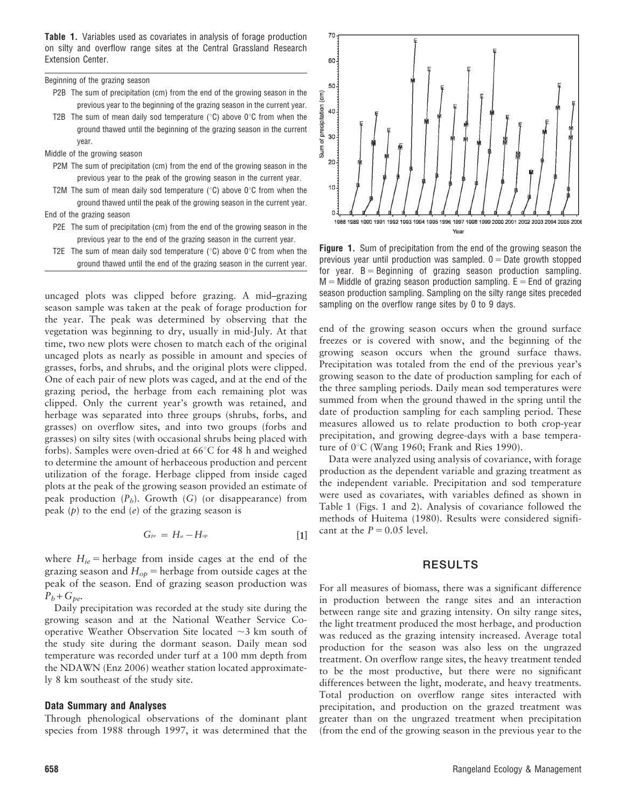Table 1. Variables used as covariates in analysis of forage production on silty and overflow range sites at the Central Grassland Research Extension Center.

Beginning of the grazing season

- P2B The sum of precipitation (cm) from the end of the growing season in the previous year to the beginning of the grazing season in the current year.
- T2B The sum of mean daily sod temperature ( $^{\circ}$ C) above 0 $^{\circ}$ C from when the ground thawed until the beginning of the grazing season in the current year.

Middle of the growing season

- P2M The sum of precipitation (cm) from the end of the growing season in the previous year to the peak of the growing season in the current year.
- T2M The sum of mean daily sod temperature ( $\degree$ C) above 0 $\degree$ C from when the ground thawed until the peak of the growing season in the current year.

End of the grazing season

- P2E The sum of precipitation (cm) from the end of the growing season in the previous year to the end of the grazing season in the current year.
- T2E The sum of mean daily sod temperature ( $\degree$ C) above 0 $\degree$ C from when the ground thawed until the end of the grazing season in the current year.

uncaged plots was clipped before grazing. A mid–grazing season sample was taken at the peak of forage production for the year. The peak was determined by observing that the vegetation was beginning to dry, usually in mid-July. At that time, two new plots were chosen to match each of the original uncaged plots as nearly as possible in amount and species of grasses, forbs, and shrubs, and the original plots were clipped. One of each pair of new plots was caged, and at the end of the grazing period, the herbage from each remaining plot was clipped. Only the current year's growth was retained, and herbage was separated into three groups (shrubs, forbs, and grasses) on overflow sites, and into two groups (forbs and grasses) on silty sites (with occasional shrubs being placed with forbs). Samples were oven-dried at  $66^{\circ}$ C for 48 h and weighed to determine the amount of herbaceous production and percent utilization of the forage. Herbage clipped from inside caged plots at the peak of the growing season provided an estimate of peak production  $(P_b)$ . Growth  $(G)$  (or disappearance) from peak  $(p)$  to the end  $(e)$  of the grazing season is

$$
G_{\scriptscriptstyle{pe}} = H_{\scriptscriptstyle{ie}} - H_{\scriptscriptstyle{op}} \tag{1}
$$

where  $H_{ie}$  = herbage from inside cages at the end of the grazing season and  $H_{op}$  = herbage from outside cages at the peak of the season. End of grazing season production was  $P_b + G_{pe}$ .

Daily precipitation was recorded at the study site during the growing season and at the National Weather Service Cooperative Weather Observation Site located  $\sim$ 3 km south of the study site during the dormant season. Daily mean sod temperature was recorded under turf at a 100 mm depth from the NDAWN (Enz 2006) weather station located approximately 8 km southeast of the study site.

#### Data Summary and Analyses

Through phenological observations of the dominant plant species from 1988 through 1997, it was determined that the



Figure 1. Sum of precipitation from the end of the growing season the previous year until production was sampled.  $0 =$  Date growth stopped for year.  $B =$  Beginning of grazing season production sampling.  $M =$  Middle of grazing season production sampling.  $E =$  End of grazing season production sampling. Sampling on the silty range sites preceded sampling on the overflow range sites by 0 to 9 days.

end of the growing season occurs when the ground surface freezes or is covered with snow, and the beginning of the growing season occurs when the ground surface thaws. Precipitation was totaled from the end of the previous year's growing season to the date of production sampling for each of the three sampling periods. Daily mean sod temperatures were summed from when the ground thawed in the spring until the date of production sampling for each sampling period. These measures allowed us to relate production to both crop-year precipitation, and growing degree-days with a base temperature of  $0^{\circ}$ C (Wang 1960; Frank and Ries 1990).

Data were analyzed using analysis of covariance, with forage production as the dependent variable and grazing treatment as the independent variable. Precipitation and sod temperature were used as covariates, with variables defined as shown in Table 1 (Figs. 1 and 2). Analysis of covariance followed the methods of Huitema (1980). Results were considered significant at the  $P = 0.05$  level.

# RESULTS

For all measures of biomass, there was a significant difference in production between the range sites and an interaction between range site and grazing intensity. On silty range sites, the light treatment produced the most herbage, and production was reduced as the grazing intensity increased. Average total production for the season was also less on the ungrazed treatment. On overflow range sites, the heavy treatment tended to be the most productive, but there were no significant differences between the light, moderate, and heavy treatments. Total production on overflow range sites interacted with precipitation, and production on the grazed treatment was greater than on the ungrazed treatment when precipitation (from the end of the growing season in the previous year to the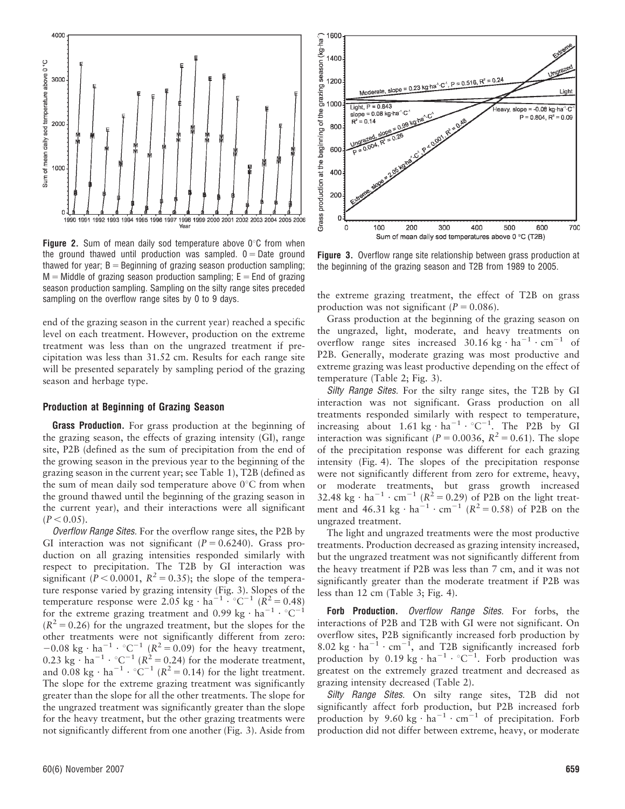

**Figure 2.** Sum of mean daily sod temperature above  $0^{\circ}$ C from when the ground thawed until production was sampled.  $0 =$  Date ground thawed for year;  $B =$  Beginning of grazing season production sampling;  $M =$  Middle of grazing season production sampling; E  $=$  End of grazing season production sampling. Sampling on the silty range sites preceded sampling on the overflow range sites by 0 to 9 days.

end of the grazing season in the current year) reached a specific level on each treatment. However, production on the extreme treatment was less than on the ungrazed treatment if precipitation was less than 31.52 cm. Results for each range site will be presented separately by sampling period of the grazing season and herbage type.

#### Production at Beginning of Grazing Season

Grass Production. For grass production at the beginning of the grazing season, the effects of grazing intensity (GI), range site, P2B (defined as the sum of precipitation from the end of the growing season in the previous year to the beginning of the grazing season in the current year; see Table 1), T2B (defined as the sum of mean daily sod temperature above  $0^{\circ}$ C from when the ground thawed until the beginning of the grazing season in the current year), and their interactions were all significant  $(P < 0.05)$ .

Overflow Range Sites. For the overflow range sites, the P2B by GI interaction was not significant ( $P = 0.6240$ ). Grass production on all grazing intensities responded similarly with respect to precipitation. The T2B by GI interaction was significant ( $P < 0.0001$ ,  $R^2 = 0.35$ ); the slope of the temperature response varied by grazing intensity (Fig. 3). Slopes of the temperature response were 2.05 kg  $\cdot$  ha<sup>-1</sup>  $\cdot$  °C<sup>-1</sup> ( $\overline{R}^2$  = 0.48) for the extreme grazing treatment and 0.99 kg  $\cdot$  ha<sup>-1</sup>  $\cdot$  °C<sup>-1</sup>  $(R^{2} = 0.26)$  for the ungrazed treatment, but the slopes for the other treatments were not significantly different from zero:  $-0.08 \text{ kg} \cdot \text{ha}^{-1} \cdot {}^{\circ} \text{C}^{-1}$  ( $R^2 = 0.09$ ) for the heavy treatment, 0.23 kg  $\cdot$  ha<sup>-1</sup>  $\cdot$  °C<sup>-1</sup> ( $R^2$  = 0.24) for the moderate treatment, and 0.08 kg  $\cdot$  ha<sup>-1</sup>  $\cdot$  °C<sup>-1</sup> (R<sup>2</sup> = 0.14) for the light treatment. The slope for the extreme grazing treatment was significantly greater than the slope for all the other treatments. The slope for the ungrazed treatment was significantly greater than the slope for the heavy treatment, but the other grazing treatments were not significantly different from one another (Fig. 3). Aside from



Figure 3. Overflow range site relationship between grass production at the beginning of the grazing season and T2B from 1989 to 2005.

the extreme grazing treatment, the effect of T2B on grass production was not significant ( $P = 0.086$ ).

Grass production at the beginning of the grazing season on the ungrazed, light, moderate, and heavy treatments on overflow range sites increased  $30.16 \text{ kg} \cdot \text{ha}^{-1} \cdot \text{cm}^{-1}$  of P2B. Generally, moderate grazing was most productive and extreme grazing was least productive depending on the effect of temperature (Table 2; Fig. 3).

Silty Range Sites. For the silty range sites, the T2B by GI interaction was not significant. Grass production on all treatments responded similarly with respect to temperature, increasing about 1.61 kg  $\cdot$  ha<sup>-1</sup>  $\cdot$  °C<sup>-1</sup>. The P2B by GI interaction was significant ( $P = 0.0036$ ,  $R^2 = 0.61$ ). The slope of the precipitation response was different for each grazing intensity (Fig. 4). The slopes of the precipitation response were not significantly different from zero for extreme, heavy, or moderate treatments, but grass growth increased 32.48 kg  $\cdot$  ha<sup>-1</sup>  $\cdot$  cm<sup>-1</sup> ( $R^2$  = 0.29) of P2B on the light treatment and 46.31 kg  $\cdot$  ha<sup>-1</sup>  $\cdot$  cm<sup>-1</sup> ( $R^2 = 0.58$ ) of P2B on the ungrazed treatment.

The light and ungrazed treatments were the most productive treatments. Production decreased as grazing intensity increased, but the ungrazed treatment was not significantly different from the heavy treatment if P2B was less than 7 cm, and it was not significantly greater than the moderate treatment if P2B was less than 12 cm (Table 3; Fig. 4).

Forb Production. Overflow Range Sites. For forbs, the interactions of P2B and T2B with GI were not significant. On overflow sites, P2B significantly increased forb production by 8.02 kg  $\cdot$  ha<sup>-1</sup>  $\cdot$  cm<sup>-1</sup>, and T2B significantly increased forb production by 0.19 kg  $\cdot$  ha<sup>-1</sup>  $\cdot$  °C<sup>-1</sup>. Forb production was greatest on the extremely grazed treatment and decreased as grazing intensity decreased (Table 2).

Silty Range Sites. On silty range sites, T2B did not significantly affect forb production, but P2B increased forb production by 9.60 kg $\cdot$  ha<sup>-1</sup>  $\cdot$  cm<sup>-1</sup> of precipitation. Forb production did not differ between extreme, heavy, or moderate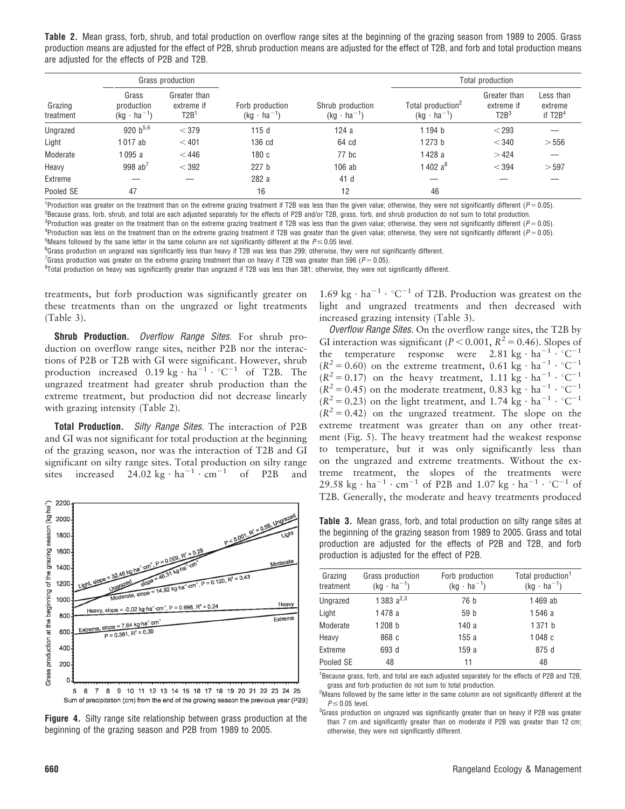Table 2. Mean grass, forb, shrub, and total production on overflow range sites at the beginning of the grazing season from 1989 to 2005. Grass production means are adjusted for the effect of P2B, shrub production means are adjusted for the effect of T2B, and forb and total production means are adjusted for the effects of P2B and T2B.

| Grazing<br>treatment | Grass production                            |                                                |                                             |                                              | Total production                                      |                                                |                                   |
|----------------------|---------------------------------------------|------------------------------------------------|---------------------------------------------|----------------------------------------------|-------------------------------------------------------|------------------------------------------------|-----------------------------------|
|                      | Grass<br>production<br>$(kg \cdot ha^{-1})$ | Greater than<br>extreme if<br>T2B <sup>1</sup> | Forb production<br>(kg $\cdot$ ha $^{-1}$ ) | Shrub production<br>(kg $\cdot$ ha $^{-1}$ ) | Total production <sup>2</sup><br>$(kg \cdot ha^{-1})$ | Greater than<br>extreme if<br>T2B <sup>3</sup> | Less than<br>extreme<br>if $T2B4$ |
| Ungrazed             | 920 $b^{5,6}$                               | < 379                                          | 115d                                        | 124a                                         | l 194 b                                               | $<$ 293                                        |                                   |
| Light                | 1017 ab                                     | < 401                                          | 136 cd                                      | 64 cd                                        | 1 273 b                                               | < 340                                          | > 556                             |
| Moderate             | 1 095 a                                     | < 446                                          | 180c                                        | $77$ bc                                      | 1 428 a                                               | >424                                           |                                   |
| Heavy                | 998 $ab^7$                                  | $<$ 392                                        | 227 <sub>b</sub>                            | $106$ ab                                     | 1 402 a <sup>8</sup>                                  | $<$ 394                                        | > 597                             |
| Extreme              |                                             |                                                | 282 a                                       | 41d                                          |                                                       |                                                |                                   |
| Pooled SE            | 47                                          |                                                | 16                                          | 12                                           | 46                                                    |                                                |                                   |

<sup>1</sup>Production was greater on the treatment than on the extreme grazing treatment if T2B was less than the given value; otherwise, they were not significantly different ( $P = 0.05$ ). <sup>2</sup>Because grass, forb, shrub, and total are each adjusted separately for the effects of P2B and/or T2B, grass, forb, and shrub production do not sum to total production.

<sup>3</sup>Production was greater on the treatment than on the extreme grazing treatment if T2B was less than the given value; otherwise, they were not significantly different ( $P = 0.05$ ).

<sup>4</sup>Production was less on the treatment than on the extreme grazing treatment if T2B was greater than the given value; otherwise, they were not significantly different ( $P = 0.05$ ).

<sup>5</sup>Means followed by the same letter in the same column are not significantly different at the  $P \le 0.05$  level.

<sup>6</sup>Grass production on ungrazed was significantly less than heavy if T2B was less than 299; otherwise, they were not significantly different.

<sup>7</sup>Grass production was greater on the extreme grazing treatment than on heavy if T2B was greater than 596 ( $P = 0.05$ ).

<sup>8</sup>Total production on heavy was significantly greater than ungrazed if T2B was less than 381; otherwise, they were not significantly different.

treatments, but forb production was significantly greater on these treatments than on the ungrazed or light treatments (Table 3).

**Shrub Production.** Overflow Range Sites. For shrub production on overflow range sites, neither P2B nor the interactions of P2B or T2B with GI were significant. However, shrub production increased 0.19 kg  $\cdot$  ha<sup>21</sup>  $\cdot$  °C<sup>-1</sup> of T2B. The ungrazed treatment had greater shrub production than the extreme treatment, but production did not decrease linearly with grazing intensity (Table 2).

Total Production. Silty Range Sites. The interaction of P2B and GI was not significant for total production at the beginning of the grazing season, nor was the interaction of T2B and GI significant on silty range sites. Total production on silty range sites increased  $24.02 \text{ kg} \cdot \text{ha}^{-1} \cdot \text{cm}^{-1}$  of P2B and





Figure 4. Silty range site relationship between grass production at the beginning of the grazing season and P2B from 1989 to 2005.

1.69 kg  $\cdot$  ha<sup>-1</sup>  $\cdot$  °C<sup>-1</sup> of T2B. Production was greatest on the light and ungrazed treatments and then decreased with increased grazing intensity (Table 3).

Overflow Range Sites. On the overflow range sites, the T2B by GI interaction was significant ( $P < 0.001$ ,  $R^2 = 0.46$ ). Slopes of the temperature response were 2.81 kg  $\cdot$  ha<sup>-1</sup>  $\cdot$  °C<sup>-1</sup>  $(R^2 = 0.60)$  on the extreme treatment, 0.61 kg  $\cdot$  ha<sup>-1</sup>  $\cdot$  °C<sup>-1</sup>  $(R^2 = 0.17)$  on the heavy treatment, 1.11 kg  $\cdot$  ha<sup>-1</sup>  $\cdot$  °C<sup>-1</sup>  $(R^2 = 0.45)$  on the moderate treatment, 0.83 kg  $\cdot$  ha<sup>-1</sup>  $\cdot$  °C<sup>-1</sup>  $(R^{2} = 0.23)$  on the light treatment, and 1.74 kg  $\cdot$  ha<sup>-1</sup>  $\cdot$  °C<sup>-1</sup>  $(R^2 = 0.42)$  on the ungrazed treatment. The slope on the extreme treatment was greater than on any other treatment (Fig. 5). The heavy treatment had the weakest response to temperature, but it was only significantly less than on the ungrazed and extreme treatments. Without the extreme treatment, the slopes of the treatments were 29.58 kg  $\cdot$  ha<sup>-1</sup>  $\cdot$  cm<sup>-1</sup> of P2B and 1.07 kg  $\cdot$  ha<sup>-1</sup>  $\cdot$  °C<sup>-1</sup> of T2B. Generally, the moderate and heavy treatments produced

Table 3. Mean grass, forb, and total production on silty range sites at the beginning of the grazing season from 1989 to 2005. Grass and total production are adjusted for the effects of P2B and T2B, and forb production is adjusted for the effect of P2B.

| Grazing<br>treatment | Grass production<br>$(kg \cdot ha^{-1})$ | Forb production<br>$(kg \cdot ha^{-1})$ | Total production <sup>1</sup><br>$(kg \cdot ha^{-1})$ |
|----------------------|------------------------------------------|-----------------------------------------|-------------------------------------------------------|
| Ungrazed             | 1 383 $a^{2,3}$                          | 76 b                                    | 1469 ab                                               |
| Light                | 1478 a                                   | 59 b                                    | 1546 a                                                |
| Moderate             | 1208 b                                   | 140 a                                   | 1371 b                                                |
| Heavy                | 868 c                                    | 155 a                                   | 1048 c                                                |
| Extreme              | 693 d                                    | 159 a                                   | 875 d                                                 |
| Pooled SE            | 48                                       | 11                                      | 48                                                    |

<sup>1</sup>Because grass, forb, and total are each adjusted separately for the effects of P2B and T2B, grass and forb production do not sum to total production.

<sup>2</sup>Means followed by the same letter in the same column are not significantly different at the  $P \leq 0.05$  level.

 $^3$ Grass production on ungrazed was significantly greater than on heavy if P2B was greater than 7 cm and significantly greater than on moderate if P2B was greater than 12 cm; otherwise, they were not significantly different.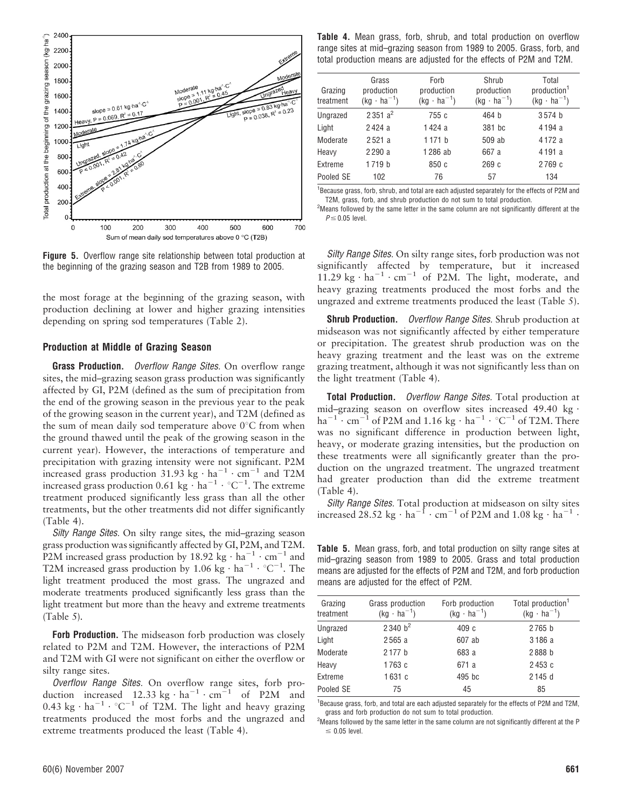

Figure 5. Overflow range site relationship between total production at the beginning of the grazing season and T2B from 1989 to 2005.

the most forage at the beginning of the grazing season, with production declining at lower and higher grazing intensities depending on spring sod temperatures (Table 2).

#### Production at Middle of Grazing Season

**Grass Production.** Overflow Range Sites. On overflow range sites, the mid–grazing season grass production was significantly affected by GI, P2M (defined as the sum of precipitation from the end of the growing season in the previous year to the peak of the growing season in the current year), and T2M (defined as the sum of mean daily sod temperature above  $0^{\circ}$ C from when the ground thawed until the peak of the growing season in the current year). However, the interactions of temperature and precipitation with grazing intensity were not significant. P2M increased grass production 31.93 kg  $\cdot$  ha<sup>-1</sup>  $\cdot$  cm<sup>-1</sup> and T2M increased grass production 0.61 kg  $\cdot$  ha<sup>-1</sup>  $\cdot$  °C<sup>-1</sup>. The extreme treatment produced significantly less grass than all the other treatments, but the other treatments did not differ significantly (Table 4).

Silty Range Sites. On silty range sites, the mid–grazing season grass production was significantly affected by GI, P2M, and T2M. P2M increased grass production by 18.92 kg  $\cdot$  ha<sup>-1</sup>  $\cdot$  cm<sup>-1</sup> and T2M increased grass production by 1.06 kg  $\cdot$  ha<sup>-1</sup>  $\cdot$  °C<sup>-1</sup>. The light treatment produced the most grass. The ungrazed and moderate treatments produced significantly less grass than the light treatment but more than the heavy and extreme treatments (Table 5).

Forb Production. The midseason forb production was closely related to P2M and T2M. However, the interactions of P2M and T2M with GI were not significant on either the overflow or silty range sites.

Overflow Range Sites. On overflow range sites, forb production increased 12.33 kg  $\cdot$  ha<sup>-1</sup>  $\cdot$  cm<sup>-1</sup> of P2M and 0.43 kg  $\cdot$  ha<sup>-1</sup>  $\cdot$  °C<sup>-1</sup> of T2M. The light and heavy grazing treatments produced the most forbs and the ungrazed and extreme treatments produced the least (Table 4).

Table 4. Mean grass, forb, shrub, and total production on overflow range sites at mid–grazing season from 1989 to 2005. Grass, forb, and total production means are adjusted for the effects of P2M and T2M.

| Grazing<br>treatment | Grass<br>production<br>$(kg \cdot ha^{-1})$ | Forb<br>production<br>$(kg \cdot ha^{-1})$ | Shrub<br>production<br>$(kg \cdot ha^{-1})$ | Total<br>production <sup>1</sup><br>$(kg \cdot ha^{-1})$ |
|----------------------|---------------------------------------------|--------------------------------------------|---------------------------------------------|----------------------------------------------------------|
| Ungrazed             | $2351a^2$                                   | 755 c                                      | 464 b                                       | 3574 b                                                   |
| Light                | 2424 a                                      | 1424 a                                     | 381 bc                                      | 4 1 9 4 a                                                |
| Moderate             | 2521a                                       | 1171 b                                     | 509 ab                                      | 4 172 a                                                  |
| Heavy                | 2290 a                                      | 1 286 ab                                   | 667 a                                       | 4191 a                                                   |
| Extreme              | 1719 b                                      | 850 c                                      | 269c                                        | 2769 c                                                   |
| Pooled SE            | 102                                         | 76                                         | 57                                          | 134                                                      |

<sup>1</sup>Because grass, forb, shrub, and total are each adjusted separately for the effects of P2M and T2M, grass, forb, and shrub production do not sum to total production.

 ${}^{2}$ Means followed by the same letter in the same column are not significantly different at the  $P \leq 0.05$  level.

Silty Range Sites. On silty range sites, forb production was not significantly affected by temperature, but it increased 11.29 kg  $\cdot$  ha<sup>-1</sup>  $\cdot$  cm<sup>-1</sup> of P2M. The light, moderate, and heavy grazing treatments produced the most forbs and the ungrazed and extreme treatments produced the least (Table 5).

**Shrub Production.** Overflow Range Sites. Shrub production at midseason was not significantly affected by either temperature or precipitation. The greatest shrub production was on the heavy grazing treatment and the least was on the extreme grazing treatment, although it was not significantly less than on the light treatment (Table 4).

**Total Production.** Overflow Range Sites. Total production at mid-grazing season on overflow sites increased 49.40 kg · ha<sup>-1</sup>  $\cdot$  cm<sup>-1</sup> of P2M and 1.16 kg  $\cdot$  ha<sup>-1</sup>  $\cdot$  °C<sup>-1</sup> of T2M. There was no significant difference in production between light, heavy, or moderate grazing intensities, but the production on these treatments were all significantly greater than the production on the ungrazed treatment. The ungrazed treatment had greater production than did the extreme treatment (Table 4).

Silty Range Sites. Total production at midseason on silty sites increased 28.52 kg  $\cdot$  ha<sup>-1</sup>  $\cdot$  cm<sup>-1</sup> of P2M and 1.08 kg  $\cdot$  ha<sup>-1</sup>  $\cdot$ 

Table 5. Mean grass, forb, and total production on silty range sites at mid–grazing season from 1989 to 2005. Grass and total production means are adjusted for the effects of P2M and T2M, and forb production means are adjusted for the effect of P2M.

| Grazing<br>treatment | Grass production<br>$(kg \cdot ha^{-1})$ | Forb production<br>$(kg \cdot ha^{-1})$ | Total production <sup>1</sup><br>$(kg \cdot ha^{-1})$ |
|----------------------|------------------------------------------|-----------------------------------------|-------------------------------------------------------|
| Ungrazed             | 2340 $b^2$                               | 409 c                                   | 2765 b                                                |
| Light                | 2565a                                    | 607 ab                                  | 3186 a                                                |
| Moderate             | 2177 b                                   | 683 a                                   | 2888 b                                                |
| Heavy                | 1763 c                                   | 671 a                                   | 2453c                                                 |
| Extreme              | 1631 c                                   | 495 bc                                  | 2145 d                                                |
| Pooled SE            | 75                                       | 45                                      | 85                                                    |

<sup>1</sup>Because grass, forb, and total are each adjusted separately for the effects of P2M and T2M, grass and forb production do not sum to total production.

 ${}^{2}$ Means followed by the same letter in the same column are not significantly different at the P  $\leq 0.05$  level.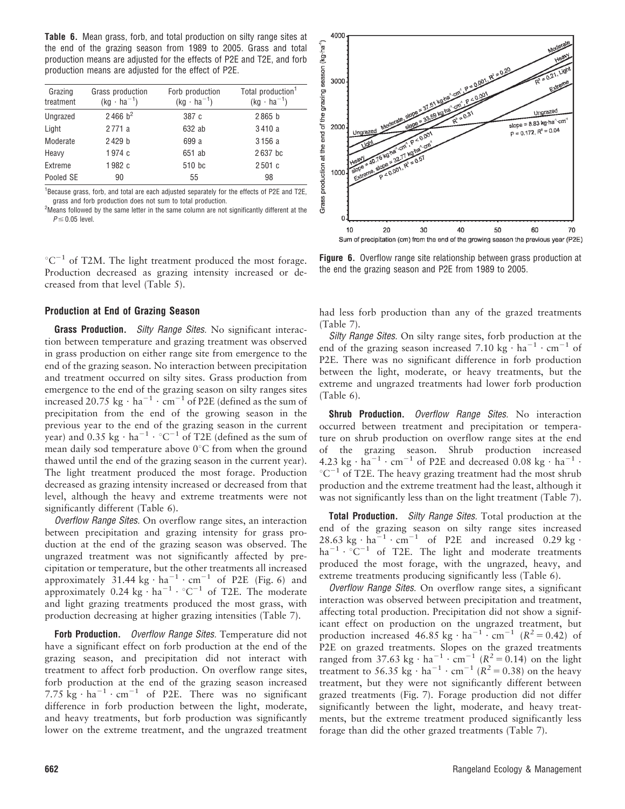Table 6. Mean grass, forb, and total production on silty range sites at the end of the grazing season from 1989 to 2005. Grass and total production means are adjusted for the effects of P2E and T2E, and forb production means are adjusted for the effect of P2E.

| Grazing<br>treatment | Grass production<br>$(kg \cdot ha^{-1})$ | Forb production<br>$(kg \cdot ha^{-1})$ | Total production <sup>1</sup><br>$(kg \cdot ha^{-1})$ |
|----------------------|------------------------------------------|-----------------------------------------|-------------------------------------------------------|
| Ungrazed             | 2466 $b^2$                               | 387 c                                   | 2865 b                                                |
| Light                | 2771 a                                   | 632 ab                                  | 3410 a                                                |
| Moderate             | 2429h                                    | 699 a                                   | 3156 a                                                |
| Heavy                | 1974 c                                   | 651 ab                                  | 2637 bc                                               |
| Extreme              | 1982 c                                   | 510 bc                                  | 2501c                                                 |
| Pooled SE            | 90                                       | 55                                      | 98                                                    |

<sup>1</sup>Because grass, forb, and total are each adjusted separately for the effects of P2E and T2E, grass and forb production does not sum to total production.

<sup>2</sup>Means followed by the same letter in the same column are not significantly different at the  $P \leq 0.05$  level.

 $^{\circ}C^{-1}$  of T2M. The light treatment produced the most forage. Production decreased as grazing intensity increased or decreased from that level (Table 5).

### Production at End of Grazing Season

Grass Production. Silty Range Sites. No significant interaction between temperature and grazing treatment was observed in grass production on either range site from emergence to the end of the grazing season. No interaction between precipitation and treatment occurred on silty sites. Grass production from emergence to the end of the grazing season on silty ranges sites increased 20.75 kg  $\cdot$  ha<sup>-1</sup>  $\cdot$  cm<sup>-1</sup> of P2E (defined as the sum of precipitation from the end of the growing season in the previous year to the end of the grazing season in the current year) and  $0.35 \text{ kg} \cdot \text{ha}^{-1} \cdot {}^{\circ}\text{C}^{-1}$  of T2E (defined as the sum of mean daily sod temperature above  $0^{\circ}$ C from when the ground thawed until the end of the grazing season in the current year). The light treatment produced the most forage. Production decreased as grazing intensity increased or decreased from that level, although the heavy and extreme treatments were not significantly different (Table 6).

Overflow Range Sites. On overflow range sites, an interaction between precipitation and grazing intensity for grass production at the end of the grazing season was observed. The ungrazed treatment was not significantly affected by precipitation or temperature, but the other treatments all increased approximately  $31.44 \text{ kg} \cdot \text{ha}^{-1} \cdot \text{cm}^{-1}$  of P2E (Fig. 6) and approximately 0.24 kg $\cdot$  ha<sup>-1</sup>  $\cdot$  °C<sup>-1</sup> of T2E. The moderate and light grazing treatments produced the most grass, with production decreasing at higher grazing intensities (Table 7).

Forb Production. Overflow Range Sites. Temperature did not have a significant effect on forb production at the end of the grazing season, and precipitation did not interact with treatment to affect forb production. On overflow range sites, forb production at the end of the grazing season increased 7.75 kg  $\cdot$  ha<sup>-1</sup>  $\cdot$  cm<sup>-1</sup> of P2E. There was no significant difference in forb production between the light, moderate, and heavy treatments, but forb production was significantly lower on the extreme treatment, and the ungrazed treatment



Figure 6. Overflow range site relationship between grass production at the end the grazing season and P2E from 1989 to 2005.

had less forb production than any of the grazed treatments (Table 7).

Silty Range Sites. On silty range sites, forb production at the end of the grazing season increased  $7.10 \text{ kg} \cdot \text{ha}^{-1} \cdot \text{cm}^{-1}$  of P2E. There was no significant difference in forb production between the light, moderate, or heavy treatments, but the extreme and ungrazed treatments had lower forb production (Table 6).

Shrub Production. Overflow Range Sites. No interaction occurred between treatment and precipitation or temperature on shrub production on overflow range sites at the end of the grazing season. Shrub production increased 4.23 kg  $\cdot$  ha<sup>-1</sup>  $\cdot$  cm<sup>-1</sup> of P2E and decreased 0.08 kg  $\cdot$  ha<sup>-1</sup>  $\cdot$  $^{\circ}C^{-1}$  of T2E. The heavy grazing treatment had the most shrub production and the extreme treatment had the least, although it was not significantly less than on the light treatment (Table 7).

Total Production. Silty Range Sites. Total production at the end of the grazing season on silty range sites increased  $28.63 \text{ kg} \cdot \text{ha}^{-1} \cdot \text{cm}^{-1}$  of P2E and increased 0.29 kg  $\cdot$  $ha^{-1} \cdot \overline{C}^{-1}$  of T2E. The light and moderate treatments produced the most forage, with the ungrazed, heavy, and extreme treatments producing significantly less (Table 6).

Overflow Range Sites. On overflow range sites, a significant interaction was observed between precipitation and treatment, affecting total production. Precipitation did not show a significant effect on production on the ungrazed treatment, but production increased 46.85 kg  $\cdot$  ha<sup>-1</sup>  $\cdot$  cm<sup>-1</sup> ( $R^2 = 0.42$ ) of P2E on grazed treatments. Slopes on the grazed treatments ranged from 37.63 kg  $\cdot$  ha<sup>-1</sup>  $\cdot$  cm<sup>-1</sup> ( $R^2 = 0.14$ ) on the light treatment to 56.35 kg  $\cdot$  ha<sup>-1</sup>  $\cdot$  cm<sup>-1</sup> ( $R^2$  = 0.38) on the heavy treatment, but they were not significantly different between grazed treatments (Fig. 7). Forage production did not differ significantly between the light, moderate, and heavy treatments, but the extreme treatment produced significantly less forage than did the other grazed treatments (Table 7).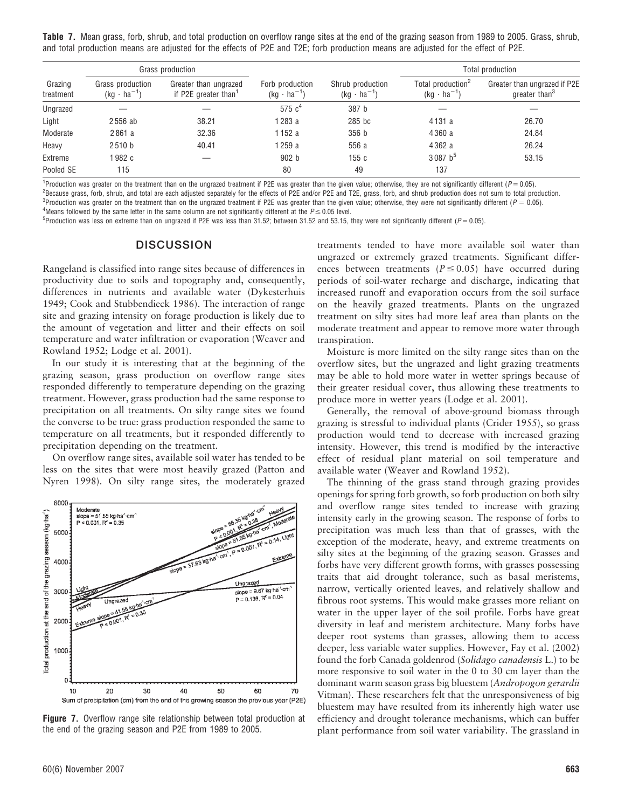Table 7. Mean grass, forb, shrub, and total production on overflow range sites at the end of the grazing season from 1989 to 2005. Grass, shrub, and total production means are adjusted for the effects of P2E and T2E; forb production means are adjusted for the effect of P2E.

| Grass production     |                                              |                                                           |                                             |                                          | Total production                                         |                                                           |
|----------------------|----------------------------------------------|-----------------------------------------------------------|---------------------------------------------|------------------------------------------|----------------------------------------------------------|-----------------------------------------------------------|
| Grazing<br>treatment | Grass production<br>(kg $\cdot$ ha $^{-1}$ ) | Greater than ungrazed<br>if P2E greater than <sup>1</sup> | Forb production<br>(kg $\cdot$ ha $^{-1}$ ) | Shrub production<br>$(kg \cdot ha^{-1})$ | Total production <sup>2</sup><br>(kg $\cdot$ ha $^{-1})$ | Greater than ungrazed if P2E<br>greater than <sup>3</sup> |
| Ungrazed             |                                              |                                                           | 575 $c^4$                                   | 387 b                                    |                                                          |                                                           |
| Light                | 2556 ab                                      | 38.21                                                     | 1 283 a                                     | 285 bc                                   | 4131 a                                                   | 26.70                                                     |
| Moderate             | 2861a                                        | 32.36                                                     | 1 152 a                                     | 356 b                                    | 4360 a                                                   | 24.84                                                     |
| Heavy                | 2510 b                                       | 40.41                                                     | l 259 a                                     | 556 a                                    | 4362 a                                                   | 26.24                                                     |
| Extreme              | 1982 с                                       |                                                           | 902 <sub>b</sub>                            | 155c                                     | $3087h^5$                                                | 53.15                                                     |
| Pooled SE            | 115                                          |                                                           | 80                                          | 49                                       | 137                                                      |                                                           |

<sup>1</sup>Production was greater on the treatment than on the ungrazed treatment if P2E was greater than the given value; otherwise, they are not significantly different ( $P = 0.05$ ). <sup>2</sup>Because grass, forb, shrub, and total are each adjusted separately for the effects of P2E and/or P2E and T2E, grass, forb, and shrub production does not sum to total production.  ${}^{3}$ Production was greater on the treatment than on the ungrazed treatment if P2E was greater than the given value; otherwise, they were not significantly different ( $P = 0.05$ ).

<sup>4</sup>Means followed by the same letter in the same column are not significantly different at the  $P \le 0.05$  level.

 $^{5}$ Production was less on extreme than on ungrazed if P2E was less than 31.52; between 31.52 and 53.15, they were not significantly different ( $P = 0.05$ ).

### **DISCUSSION**

Rangeland is classified into range sites because of differences in productivity due to soils and topography and, consequently, differences in nutrients and available water (Dykesterhuis 1949; Cook and Stubbendieck 1986). The interaction of range site and grazing intensity on forage production is likely due to the amount of vegetation and litter and their effects on soil temperature and water infiltration or evaporation (Weaver and Rowland 1952; Lodge et al. 2001).

In our study it is interesting that at the beginning of the grazing season, grass production on overflow range sites responded differently to temperature depending on the grazing treatment. However, grass production had the same response to precipitation on all treatments. On silty range sites we found the converse to be true: grass production responded the same to temperature on all treatments, but it responded differently to precipitation depending on the treatment.

On overflow range sites, available soil water has tended to be less on the sites that were most heavily grazed (Patton and Nyren 1998). On silty range sites, the moderately grazed



Figure 7. Overflow range site relationship between total production at the end of the grazing season and P2E from 1989 to 2005.

treatments tended to have more available soil water than ungrazed or extremely grazed treatments. Significant differences between treatments ( $P \le 0.05$ ) have occurred during periods of soil-water recharge and discharge, indicating that increased runoff and evaporation occurs from the soil surface on the heavily grazed treatments. Plants on the ungrazed treatment on silty sites had more leaf area than plants on the moderate treatment and appear to remove more water through transpiration.

Moisture is more limited on the silty range sites than on the overflow sites, but the ungrazed and light grazing treatments may be able to hold more water in wetter springs because of their greater residual cover, thus allowing these treatments to produce more in wetter years (Lodge et al. 2001).

Generally, the removal of above-ground biomass through grazing is stressful to individual plants (Crider 1955), so grass production would tend to decrease with increased grazing intensity. However, this trend is modified by the interactive effect of residual plant material on soil temperature and available water (Weaver and Rowland 1952).

The thinning of the grass stand through grazing provides openings for spring forb growth, so forb production on both silty and overflow range sites tended to increase with grazing intensity early in the growing season. The response of forbs to precipitation was much less than that of grasses, with the exception of the moderate, heavy, and extreme treatments on silty sites at the beginning of the grazing season. Grasses and forbs have very different growth forms, with grasses possessing traits that aid drought tolerance, such as basal meristems, narrow, vertically oriented leaves, and relatively shallow and fibrous root systems. This would make grasses more reliant on water in the upper layer of the soil profile. Forbs have great diversity in leaf and meristem architecture. Many forbs have deeper root systems than grasses, allowing them to access deeper, less variable water supplies. However, Fay et al. (2002) found the forb Canada goldenrod (Solidago canadensis L.) to be more responsive to soil water in the 0 to 30 cm layer than the dominant warm season grass big bluestem (Andropogon gerardii Vitman). These researchers felt that the unresponsiveness of big bluestem may have resulted from its inherently high water use efficiency and drought tolerance mechanisms, which can buffer plant performance from soil water variability. The grassland in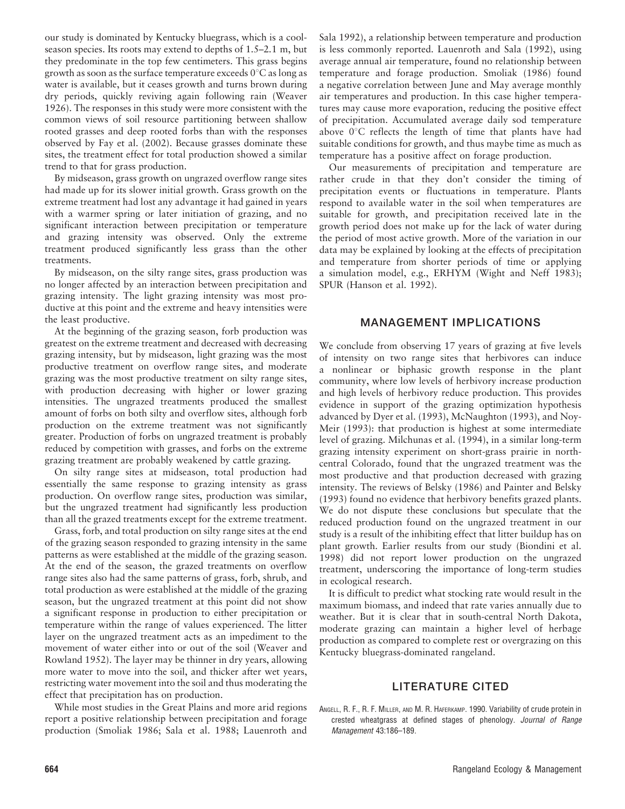our study is dominated by Kentucky bluegrass, which is a coolseason species. Its roots may extend to depths of 1.5–2.1 m, but they predominate in the top few centimeters. This grass begins growth as soon as the surface temperature exceeds  $0^{\circ}$ C as long as water is available, but it ceases growth and turns brown during dry periods, quickly reviving again following rain (Weaver 1926). The responses in this study were more consistent with the common views of soil resource partitioning between shallow rooted grasses and deep rooted forbs than with the responses observed by Fay et al. (2002). Because grasses dominate these sites, the treatment effect for total production showed a similar trend to that for grass production.

By midseason, grass growth on ungrazed overflow range sites had made up for its slower initial growth. Grass growth on the extreme treatment had lost any advantage it had gained in years with a warmer spring or later initiation of grazing, and no significant interaction between precipitation or temperature and grazing intensity was observed. Only the extreme treatment produced significantly less grass than the other treatments.

By midseason, on the silty range sites, grass production was no longer affected by an interaction between precipitation and grazing intensity. The light grazing intensity was most productive at this point and the extreme and heavy intensities were the least productive.

At the beginning of the grazing season, forb production was greatest on the extreme treatment and decreased with decreasing grazing intensity, but by midseason, light grazing was the most productive treatment on overflow range sites, and moderate grazing was the most productive treatment on silty range sites, with production decreasing with higher or lower grazing intensities. The ungrazed treatments produced the smallest amount of forbs on both silty and overflow sites, although forb production on the extreme treatment was not significantly greater. Production of forbs on ungrazed treatment is probably reduced by competition with grasses, and forbs on the extreme grazing treatment are probably weakened by cattle grazing.

On silty range sites at midseason, total production had essentially the same response to grazing intensity as grass production. On overflow range sites, production was similar, but the ungrazed treatment had significantly less production than all the grazed treatments except for the extreme treatment.

Grass, forb, and total production on silty range sites at the end of the grazing season responded to grazing intensity in the same patterns as were established at the middle of the grazing season. At the end of the season, the grazed treatments on overflow range sites also had the same patterns of grass, forb, shrub, and total production as were established at the middle of the grazing season, but the ungrazed treatment at this point did not show a significant response in production to either precipitation or temperature within the range of values experienced. The litter layer on the ungrazed treatment acts as an impediment to the movement of water either into or out of the soil (Weaver and Rowland 1952). The layer may be thinner in dry years, allowing more water to move into the soil, and thicker after wet years, restricting water movement into the soil and thus moderating the effect that precipitation has on production.

While most studies in the Great Plains and more arid regions report a positive relationship between precipitation and forage production (Smoliak 1986; Sala et al. 1988; Lauenroth and Sala 1992), a relationship between temperature and production is less commonly reported. Lauenroth and Sala (1992), using average annual air temperature, found no relationship between temperature and forage production. Smoliak (1986) found a negative correlation between June and May average monthly air temperatures and production. In this case higher temperatures may cause more evaporation, reducing the positive effect of precipitation. Accumulated average daily sod temperature above  $0^{\circ}$ C reflects the length of time that plants have had suitable conditions for growth, and thus maybe time as much as temperature has a positive affect on forage production.

Our measurements of precipitation and temperature are rather crude in that they don't consider the timing of precipitation events or fluctuations in temperature. Plants respond to available water in the soil when temperatures are suitable for growth, and precipitation received late in the growth period does not make up for the lack of water during the period of most active growth. More of the variation in our data may be explained by looking at the effects of precipitation and temperature from shorter periods of time or applying a simulation model, e.g., ERHYM (Wight and Neff 1983); SPUR (Hanson et al. 1992).

# MANAGEMENT IMPLICATIONS

We conclude from observing 17 years of grazing at five levels of intensity on two range sites that herbivores can induce a nonlinear or biphasic growth response in the plant community, where low levels of herbivory increase production and high levels of herbivory reduce production. This provides evidence in support of the grazing optimization hypothesis advanced by Dyer et al. (1993), McNaughton (1993), and Noy-Meir (1993): that production is highest at some intermediate level of grazing. Milchunas et al. (1994), in a similar long-term grazing intensity experiment on short-grass prairie in northcentral Colorado, found that the ungrazed treatment was the most productive and that production decreased with grazing intensity. The reviews of Belsky (1986) and Painter and Belsky (1993) found no evidence that herbivory benefits grazed plants. We do not dispute these conclusions but speculate that the reduced production found on the ungrazed treatment in our study is a result of the inhibiting effect that litter buildup has on plant growth. Earlier results from our study (Biondini et al. 1998) did not report lower production on the ungrazed treatment, underscoring the importance of long-term studies in ecological research.

It is difficult to predict what stocking rate would result in the maximum biomass, and indeed that rate varies annually due to weather. But it is clear that in south-central North Dakota, moderate grazing can maintain a higher level of herbage production as compared to complete rest or overgrazing on this Kentucky bluegrass-dominated rangeland.

# LITERATURE CITED

ANGELL, R. F., R. F. MILLER, AND M. R. HAFERKAMP. 1990. Variability of crude protein in crested wheatgrass at defined stages of phenology. Journal of Range Management 43:186–189.